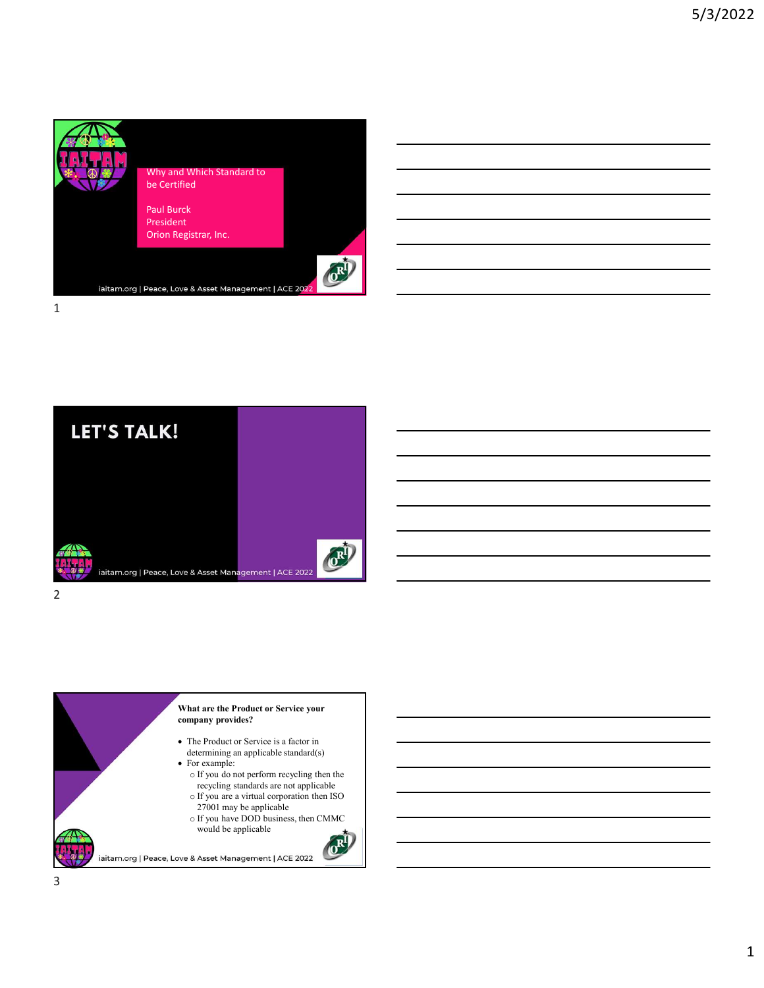



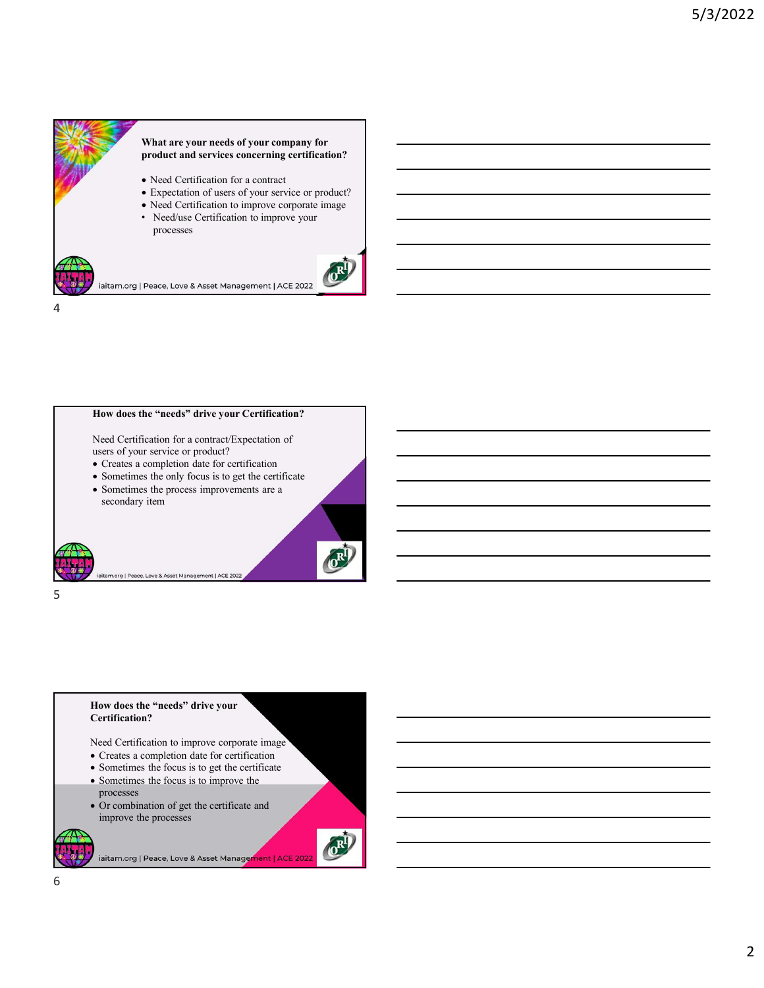





iaitam.org | Peace, Love & Asset Management | ACE 2022  $5<sub>2</sub>$ 



Need Certification to improve corporate image

- Creates a completion date for certification
- Sometimes the focus is to get the certificate
- Sometimes the focus is to improve the processes
- How does the "needs" drive your<br>
Certification?<br>
Need Certification to improve corporate image<br>
Creates a completion date for certification<br>
Sometimes the focus is to get the certificate<br>
Sometimes the focus is to improve Or combination of get the certificate and improve the processes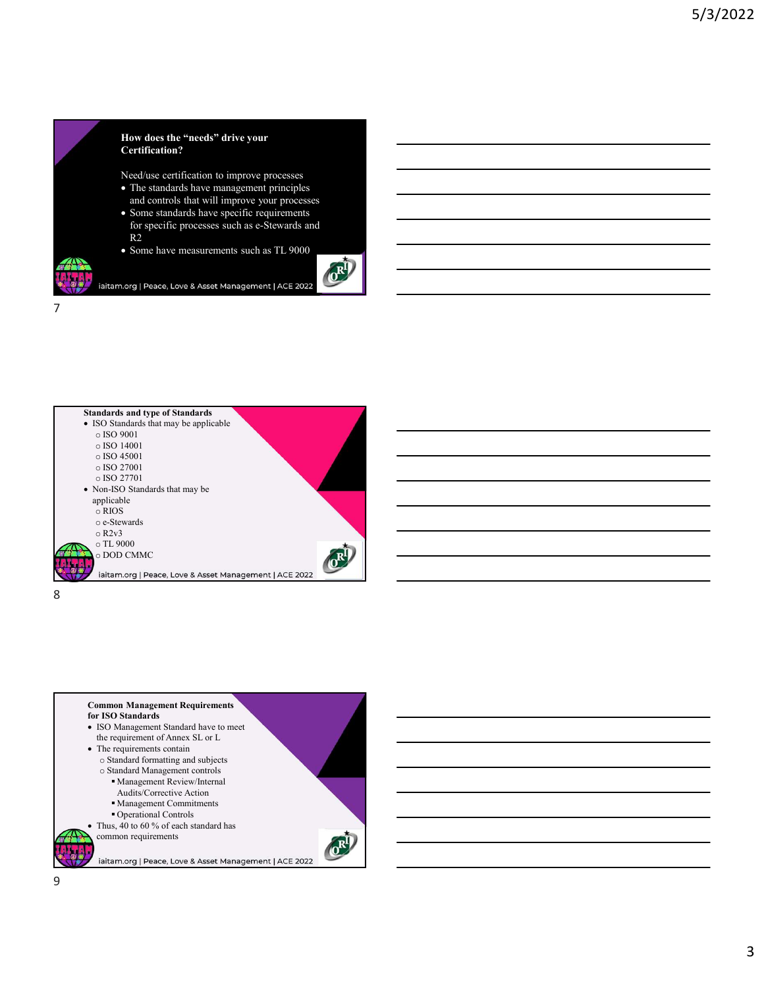



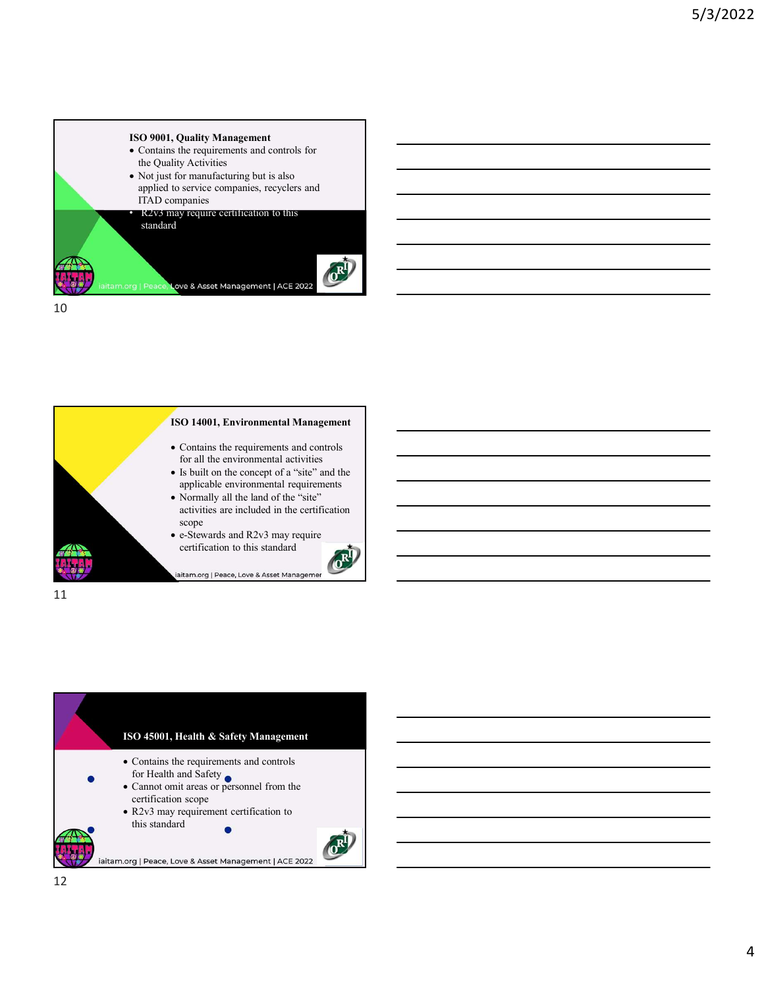

ISO 14001, Environmental Management Contains the requirements and controls for all the environmental activities Is built on the concept of a "site" and the applicable environmental requirements Normally all the land of the "site" activities are included in the certification scope e-Stewards and R2v3 may require certification to this standard **Company Logo Company Logo Company Logo Company Logo Company Logo Company Logo Company Logo Company Logo Company** iaitam.org | Peace, Love & Asset Managemer

11

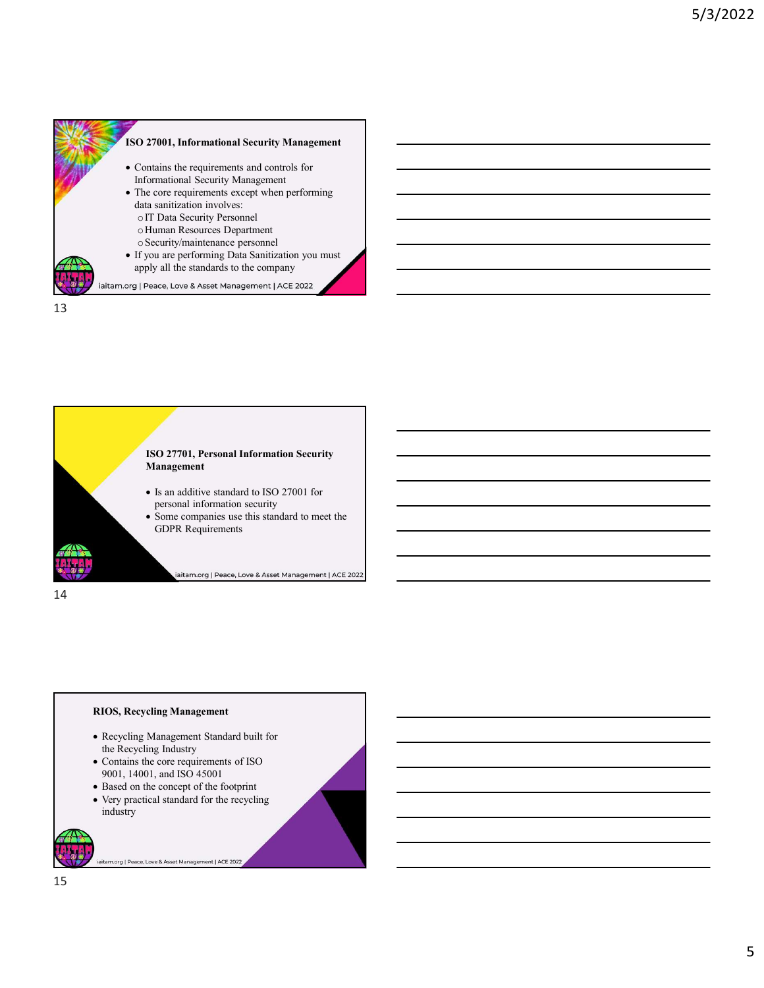

ISO 27701, Personal Information Security Management • Is an additive standard to ISO 27001 for personal information security Some companies use this standard to meet the GDPR Requirements

iaitam.org | Peace, Love & Asset Management | ACE 2022

14

## RIOS, Recycling Management

- Recycling Management Standard built for the Recycling Industry
- Contains the core requirements of ISO 9001, 14001, and ISO 45001
- Based on the concept of the footprint
- Very practical standard for the recycling industry

iaitam.org | Peace, Love & Asset Management | ACE 2022

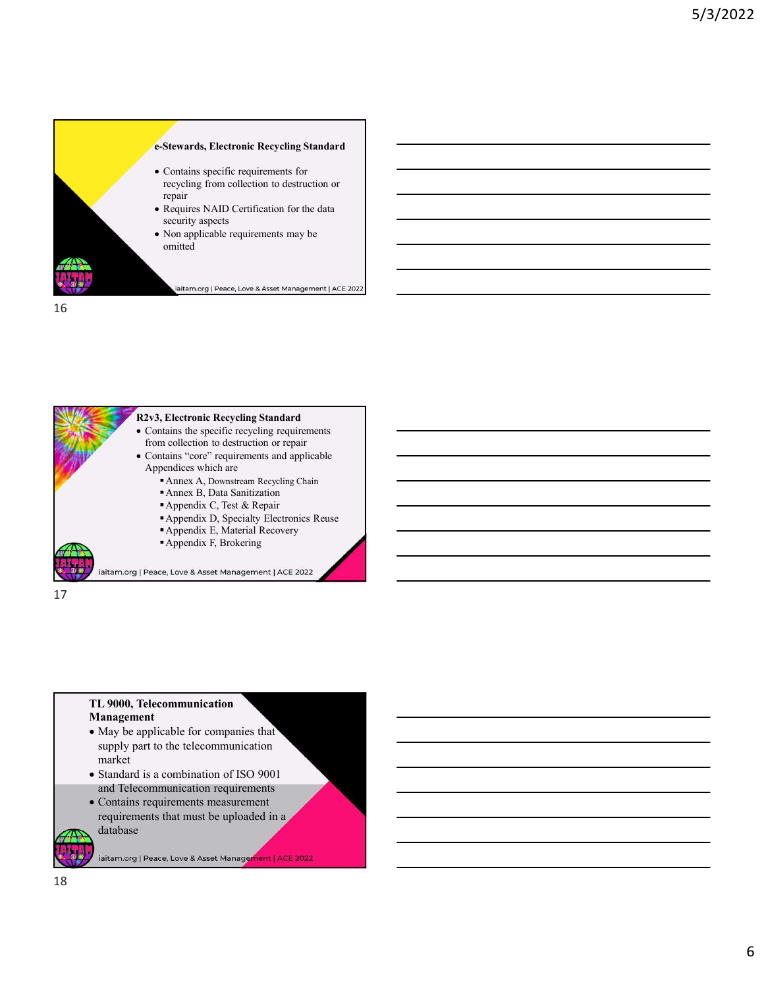



17

## TL 9000, Telecommunication Management

- May be applicable for companies that supply part to the telecommunication market
- Standard is a combination of ISO 9001 and Telecommunication requirements
- Contains requirements measurement requirements that must be uploaded in a database

iaitam.org | Peace, Love & Asset Management | ACE 2022